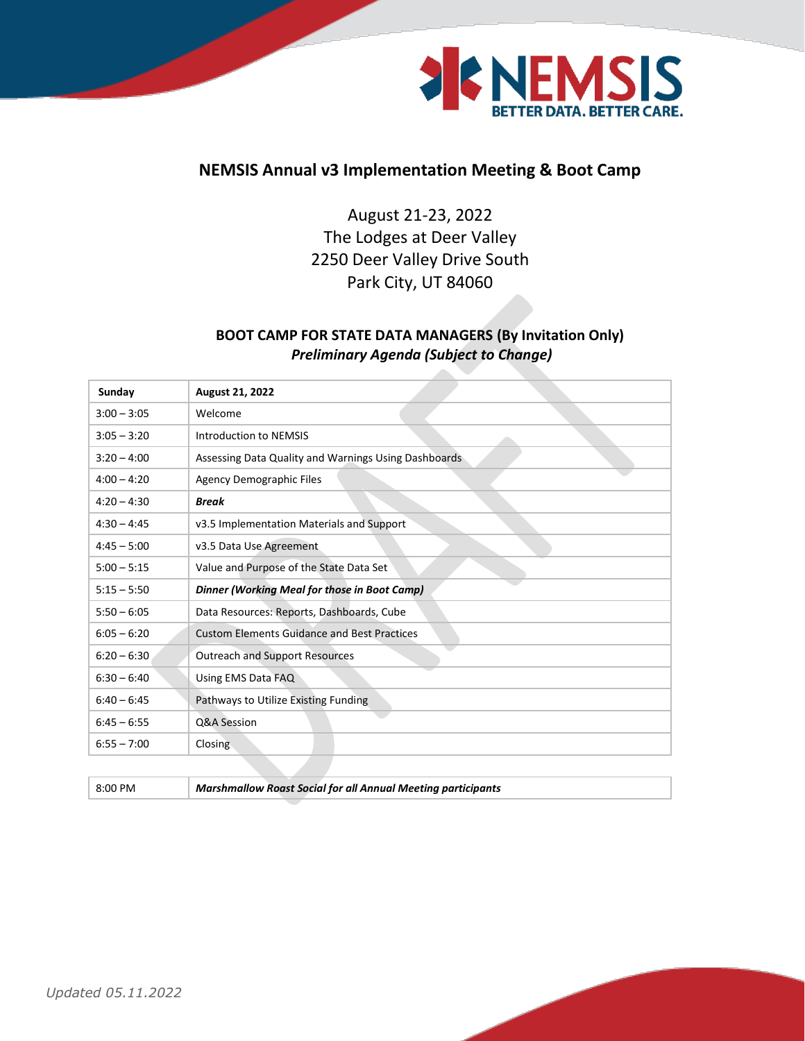

## **NEMSIS Annual v3 Implementation Meeting & Boot Camp**

August 21-23, 2022 The Lodges at Deer Valley 2250 Deer Valley Drive South Park City, UT 84060

## **BOOT CAMP FOR STATE DATA MANAGERS (By Invitation Only)** *Preliminary Agenda (Subject to Change)*

| Sunday        | August 21, 2022                                      |
|---------------|------------------------------------------------------|
| $3:00 - 3:05$ | Welcome                                              |
| $3:05 - 3:20$ | <b>Introduction to NEMSIS</b>                        |
| $3:20 - 4:00$ | Assessing Data Quality and Warnings Using Dashboards |
| $4:00 - 4:20$ | <b>Agency Demographic Files</b>                      |
| $4:20 - 4:30$ | <b>Break</b>                                         |
| $4:30 - 4:45$ | v3.5 Implementation Materials and Support            |
| $4:45 - 5:00$ | v3.5 Data Use Agreement                              |
| $5:00 - 5:15$ | Value and Purpose of the State Data Set              |
| $5:15 - 5:50$ | Dinner (Working Meal for those in Boot Camp)         |
| $5:50 - 6:05$ | Data Resources: Reports, Dashboards, Cube            |
| $6:05 - 6:20$ | <b>Custom Elements Guidance and Best Practices</b>   |
| $6:20 - 6:30$ | <b>Outreach and Support Resources</b>                |
| $6:30 - 6:40$ | Using EMS Data FAQ                                   |
| $6:40 - 6:45$ | Pathways to Utilize Existing Funding                 |
| $6:45 - 6:55$ | Q&A Session                                          |
| $6:55 - 7:00$ | Closing                                              |

8:00 PM *Marshmallow Roast Social for all Annual Meeting participants*